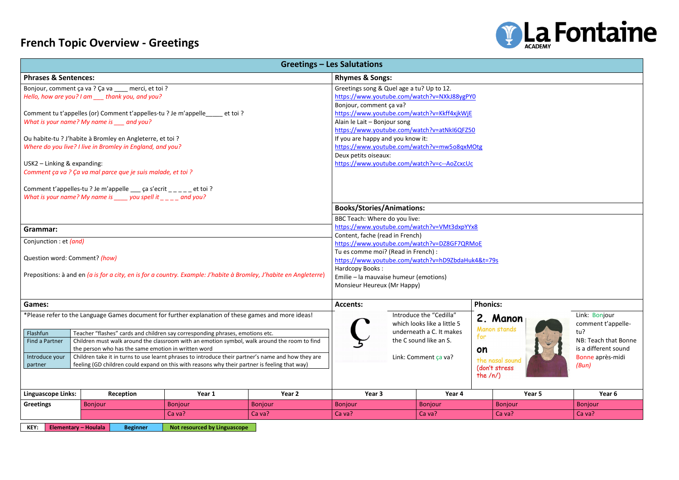## **French Topic Overview - Greetings**



| <b>Phrases &amp; Sentences:</b><br><b>Rhymes &amp; Songs:</b><br>Greetings song & Quel age a tu? Up to 12.<br>Bonjour, comment ça va ? Ça va ___ merci, et toi ?<br>https://www.youtube.com/watch?v=NXkJ88ygPY0<br>Hello, how are you? I am ____ thank you, and you?<br>Bonjour, comment ça va?<br>https://www.youtube.com/watch?v=Kkff4xjkWjE<br>Comment tu t'appelles (or) Comment t'appelles-tu ? Je m'appelle<br>et toi ?<br>What is your name? My name is ___ and you?<br>Alain le Lait - Bonjour song<br>https://www.youtube.com/watch?v=atNkI6QFZ50<br>If you are happy and you know it:<br>Ou habite-tu ? J'habite à Bromley en Angleterre, et toi ?<br>https://www.youtube.com/watch?v=mw5o8qxMOtg<br>Where do you live? I live in Bromley in England, and you?<br>Deux petits oiseaux:<br>https://www.youtube.com/watch?v=c--AoZcxcUc<br>USK2 - Linking & expanding:<br>Comment ça va ? Ça va mal parce que je suis malade, et toi ?<br>Comment t'appelles-tu ? Je m'appelle $\frac{1}{2}$ ça s'ecrit $\frac{1}{2}$ = $\frac{1}{2}$ et toi ?<br>What is your name? My name is $\mu$ you spell it $\mu$ and you?<br><b>Books/Stories/Animations:</b><br>BBC Teach: Where do you live:<br>https://www.youtube.com/watch?v=VMt3dxpYYx8<br>Grammar:<br>Content, fache (read in French)<br>Conjunction : et (and)<br>https://www.youtube.com/watch?v=DZ8GF7QRMoE<br>Tu es comme moi? (Read in French) :<br>Question word: Comment? (how)<br>https://www.youtube.com/watch?v=hD9ZbdaHuk4&t=79s<br>Hardcopy Books:<br>Prepositions: à and en (a is for a city, en is for a country. Example: J'habite à Bromley, J'habite en Angleterre<br>Emilie - la mauvaise humeur (emotions)<br>Monsieur Heureux (Mr Happy)<br><b>Games:</b><br><b>Phonics:</b><br><b>Accents:</b><br>*Please refer to the Language Games document for further explanation of these games and more ideas!<br>Introduce the "Cedilla"<br>2. Manon<br>which looks like a little 5<br>comment t'ap<br><b>Manon stands</b><br>tu?<br>underneath a C. It makes<br>Flashfun<br>Teacher "flashes" cards and children say corresponding phrases, emotions etc.<br>for<br>the C sound like an S.<br>NB: Teach that<br>Find a Partner<br>Children must walk around the classroom with an emotion symbol, walk around the room to find<br>the person who has the same emotion in written word<br>on<br>Children take it in turns to use learnt phrases to introduce their partner's name and how they are<br>Introduce your<br>Link: Comment ça va?<br>Bonne après-n<br>the nasal sound<br>feeling (GD children could expand on this with reasons why their partner is feeling that way)<br>partner<br>(Bun)<br>(don't stress<br>the $/n/$<br>Year 2<br>Year 5<br><b>Linguascope Links:</b><br>Year 1<br>Year 3<br>Year 4<br>Year <sub>6</sub><br>Reception<br><b>Greetings</b><br><b>Bonjour</b><br>Bonjour<br>Bonjour<br>Bonjour<br><b>Bonjour</b><br><b>Bonjour</b><br><b>Bonjour</b><br>Ca va?<br>Ca va?<br>Ca va?<br>Ca va?<br>Ca va?<br>Ca va?<br><b>Elementary - Houlala</b><br>Not resourced by Linguascope |      |                 |  | <b>Greetings - Les Salutations</b> |  |  |  |  |  |  |  |  |
|----------------------------------------------------------------------------------------------------------------------------------------------------------------------------------------------------------------------------------------------------------------------------------------------------------------------------------------------------------------------------------------------------------------------------------------------------------------------------------------------------------------------------------------------------------------------------------------------------------------------------------------------------------------------------------------------------------------------------------------------------------------------------------------------------------------------------------------------------------------------------------------------------------------------------------------------------------------------------------------------------------------------------------------------------------------------------------------------------------------------------------------------------------------------------------------------------------------------------------------------------------------------------------------------------------------------------------------------------------------------------------------------------------------------------------------------------------------------------------------------------------------------------------------------------------------------------------------------------------------------------------------------------------------------------------------------------------------------------------------------------------------------------------------------------------------------------------------------------------------------------------------------------------------------------------------------------------------------------------------------------------------------------------------------------------------------------------------------------------------------------------------------------------------------------------------------------------------------------------------------------------------------------------------------------------------------------------------------------------------------------------------------------------------------------------------------------------------------------------------------------------------------------------------------------------------------------------------------------------------------------------------------------------------------------------------------------------------------------------------------------------------------------------------------------------------------------------------------------------------------------------------------------------------------------------------------------------------------------------------------------------------------------------------------------------------------------------|------|-----------------|--|------------------------------------|--|--|--|--|--|--|--|--|
|                                                                                                                                                                                                                                                                                                                                                                                                                                                                                                                                                                                                                                                                                                                                                                                                                                                                                                                                                                                                                                                                                                                                                                                                                                                                                                                                                                                                                                                                                                                                                                                                                                                                                                                                                                                                                                                                                                                                                                                                                                                                                                                                                                                                                                                                                                                                                                                                                                                                                                                                                                                                                                                                                                                                                                                                                                                                                                                                                                                                                                                                                  |      |                 |  |                                    |  |  |  |  |  |  |  |  |
|                                                                                                                                                                                                                                                                                                                                                                                                                                                                                                                                                                                                                                                                                                                                                                                                                                                                                                                                                                                                                                                                                                                                                                                                                                                                                                                                                                                                                                                                                                                                                                                                                                                                                                                                                                                                                                                                                                                                                                                                                                                                                                                                                                                                                                                                                                                                                                                                                                                                                                                                                                                                                                                                                                                                                                                                                                                                                                                                                                                                                                                                                  |      |                 |  |                                    |  |  |  |  |  |  |  |  |
|                                                                                                                                                                                                                                                                                                                                                                                                                                                                                                                                                                                                                                                                                                                                                                                                                                                                                                                                                                                                                                                                                                                                                                                                                                                                                                                                                                                                                                                                                                                                                                                                                                                                                                                                                                                                                                                                                                                                                                                                                                                                                                                                                                                                                                                                                                                                                                                                                                                                                                                                                                                                                                                                                                                                                                                                                                                                                                                                                                                                                                                                                  |      |                 |  |                                    |  |  |  |  |  |  |  |  |
|                                                                                                                                                                                                                                                                                                                                                                                                                                                                                                                                                                                                                                                                                                                                                                                                                                                                                                                                                                                                                                                                                                                                                                                                                                                                                                                                                                                                                                                                                                                                                                                                                                                                                                                                                                                                                                                                                                                                                                                                                                                                                                                                                                                                                                                                                                                                                                                                                                                                                                                                                                                                                                                                                                                                                                                                                                                                                                                                                                                                                                                                                  |      |                 |  |                                    |  |  |  |  |  |  |  |  |
|                                                                                                                                                                                                                                                                                                                                                                                                                                                                                                                                                                                                                                                                                                                                                                                                                                                                                                                                                                                                                                                                                                                                                                                                                                                                                                                                                                                                                                                                                                                                                                                                                                                                                                                                                                                                                                                                                                                                                                                                                                                                                                                                                                                                                                                                                                                                                                                                                                                                                                                                                                                                                                                                                                                                                                                                                                                                                                                                                                                                                                                                                  |      |                 |  |                                    |  |  |  |  |  |  |  |  |
|                                                                                                                                                                                                                                                                                                                                                                                                                                                                                                                                                                                                                                                                                                                                                                                                                                                                                                                                                                                                                                                                                                                                                                                                                                                                                                                                                                                                                                                                                                                                                                                                                                                                                                                                                                                                                                                                                                                                                                                                                                                                                                                                                                                                                                                                                                                                                                                                                                                                                                                                                                                                                                                                                                                                                                                                                                                                                                                                                                                                                                                                                  |      |                 |  |                                    |  |  |  |  |  |  |  |  |
|                                                                                                                                                                                                                                                                                                                                                                                                                                                                                                                                                                                                                                                                                                                                                                                                                                                                                                                                                                                                                                                                                                                                                                                                                                                                                                                                                                                                                                                                                                                                                                                                                                                                                                                                                                                                                                                                                                                                                                                                                                                                                                                                                                                                                                                                                                                                                                                                                                                                                                                                                                                                                                                                                                                                                                                                                                                                                                                                                                                                                                                                                  |      |                 |  |                                    |  |  |  |  |  |  |  |  |
|                                                                                                                                                                                                                                                                                                                                                                                                                                                                                                                                                                                                                                                                                                                                                                                                                                                                                                                                                                                                                                                                                                                                                                                                                                                                                                                                                                                                                                                                                                                                                                                                                                                                                                                                                                                                                                                                                                                                                                                                                                                                                                                                                                                                                                                                                                                                                                                                                                                                                                                                                                                                                                                                                                                                                                                                                                                                                                                                                                                                                                                                                  |      |                 |  |                                    |  |  |  |  |  |  |  |  |
|                                                                                                                                                                                                                                                                                                                                                                                                                                                                                                                                                                                                                                                                                                                                                                                                                                                                                                                                                                                                                                                                                                                                                                                                                                                                                                                                                                                                                                                                                                                                                                                                                                                                                                                                                                                                                                                                                                                                                                                                                                                                                                                                                                                                                                                                                                                                                                                                                                                                                                                                                                                                                                                                                                                                                                                                                                                                                                                                                                                                                                                                                  |      |                 |  |                                    |  |  |  |  |  |  |  |  |
|                                                                                                                                                                                                                                                                                                                                                                                                                                                                                                                                                                                                                                                                                                                                                                                                                                                                                                                                                                                                                                                                                                                                                                                                                                                                                                                                                                                                                                                                                                                                                                                                                                                                                                                                                                                                                                                                                                                                                                                                                                                                                                                                                                                                                                                                                                                                                                                                                                                                                                                                                                                                                                                                                                                                                                                                                                                                                                                                                                                                                                                                                  |      |                 |  |                                    |  |  |  |  |  |  |  |  |
|                                                                                                                                                                                                                                                                                                                                                                                                                                                                                                                                                                                                                                                                                                                                                                                                                                                                                                                                                                                                                                                                                                                                                                                                                                                                                                                                                                                                                                                                                                                                                                                                                                                                                                                                                                                                                                                                                                                                                                                                                                                                                                                                                                                                                                                                                                                                                                                                                                                                                                                                                                                                                                                                                                                                                                                                                                                                                                                                                                                                                                                                                  |      |                 |  |                                    |  |  |  |  |  |  |  |  |
|                                                                                                                                                                                                                                                                                                                                                                                                                                                                                                                                                                                                                                                                                                                                                                                                                                                                                                                                                                                                                                                                                                                                                                                                                                                                                                                                                                                                                                                                                                                                                                                                                                                                                                                                                                                                                                                                                                                                                                                                                                                                                                                                                                                                                                                                                                                                                                                                                                                                                                                                                                                                                                                                                                                                                                                                                                                                                                                                                                                                                                                                                  |      |                 |  |                                    |  |  |  |  |  |  |  |  |
| Link: Bonjour<br>is a different so                                                                                                                                                                                                                                                                                                                                                                                                                                                                                                                                                                                                                                                                                                                                                                                                                                                                                                                                                                                                                                                                                                                                                                                                                                                                                                                                                                                                                                                                                                                                                                                                                                                                                                                                                                                                                                                                                                                                                                                                                                                                                                                                                                                                                                                                                                                                                                                                                                                                                                                                                                                                                                                                                                                                                                                                                                                                                                                                                                                                                                               |      |                 |  |                                    |  |  |  |  |  |  |  |  |
|                                                                                                                                                                                                                                                                                                                                                                                                                                                                                                                                                                                                                                                                                                                                                                                                                                                                                                                                                                                                                                                                                                                                                                                                                                                                                                                                                                                                                                                                                                                                                                                                                                                                                                                                                                                                                                                                                                                                                                                                                                                                                                                                                                                                                                                                                                                                                                                                                                                                                                                                                                                                                                                                                                                                                                                                                                                                                                                                                                                                                                                                                  |      |                 |  |                                    |  |  |  |  |  |  |  |  |
|                                                                                                                                                                                                                                                                                                                                                                                                                                                                                                                                                                                                                                                                                                                                                                                                                                                                                                                                                                                                                                                                                                                                                                                                                                                                                                                                                                                                                                                                                                                                                                                                                                                                                                                                                                                                                                                                                                                                                                                                                                                                                                                                                                                                                                                                                                                                                                                                                                                                                                                                                                                                                                                                                                                                                                                                                                                                                                                                                                                                                                                                                  |      |                 |  |                                    |  |  |  |  |  |  |  |  |
|                                                                                                                                                                                                                                                                                                                                                                                                                                                                                                                                                                                                                                                                                                                                                                                                                                                                                                                                                                                                                                                                                                                                                                                                                                                                                                                                                                                                                                                                                                                                                                                                                                                                                                                                                                                                                                                                                                                                                                                                                                                                                                                                                                                                                                                                                                                                                                                                                                                                                                                                                                                                                                                                                                                                                                                                                                                                                                                                                                                                                                                                                  |      |                 |  |                                    |  |  |  |  |  |  |  |  |
|                                                                                                                                                                                                                                                                                                                                                                                                                                                                                                                                                                                                                                                                                                                                                                                                                                                                                                                                                                                                                                                                                                                                                                                                                                                                                                                                                                                                                                                                                                                                                                                                                                                                                                                                                                                                                                                                                                                                                                                                                                                                                                                                                                                                                                                                                                                                                                                                                                                                                                                                                                                                                                                                                                                                                                                                                                                                                                                                                                                                                                                                                  |      |                 |  |                                    |  |  |  |  |  |  |  |  |
|                                                                                                                                                                                                                                                                                                                                                                                                                                                                                                                                                                                                                                                                                                                                                                                                                                                                                                                                                                                                                                                                                                                                                                                                                                                                                                                                                                                                                                                                                                                                                                                                                                                                                                                                                                                                                                                                                                                                                                                                                                                                                                                                                                                                                                                                                                                                                                                                                                                                                                                                                                                                                                                                                                                                                                                                                                                                                                                                                                                                                                                                                  |      |                 |  |                                    |  |  |  |  |  |  |  |  |
|                                                                                                                                                                                                                                                                                                                                                                                                                                                                                                                                                                                                                                                                                                                                                                                                                                                                                                                                                                                                                                                                                                                                                                                                                                                                                                                                                                                                                                                                                                                                                                                                                                                                                                                                                                                                                                                                                                                                                                                                                                                                                                                                                                                                                                                                                                                                                                                                                                                                                                                                                                                                                                                                                                                                                                                                                                                                                                                                                                                                                                                                                  |      |                 |  |                                    |  |  |  |  |  |  |  |  |
|                                                                                                                                                                                                                                                                                                                                                                                                                                                                                                                                                                                                                                                                                                                                                                                                                                                                                                                                                                                                                                                                                                                                                                                                                                                                                                                                                                                                                                                                                                                                                                                                                                                                                                                                                                                                                                                                                                                                                                                                                                                                                                                                                                                                                                                                                                                                                                                                                                                                                                                                                                                                                                                                                                                                                                                                                                                                                                                                                                                                                                                                                  |      |                 |  |                                    |  |  |  |  |  |  |  |  |
|                                                                                                                                                                                                                                                                                                                                                                                                                                                                                                                                                                                                                                                                                                                                                                                                                                                                                                                                                                                                                                                                                                                                                                                                                                                                                                                                                                                                                                                                                                                                                                                                                                                                                                                                                                                                                                                                                                                                                                                                                                                                                                                                                                                                                                                                                                                                                                                                                                                                                                                                                                                                                                                                                                                                                                                                                                                                                                                                                                                                                                                                                  |      |                 |  |                                    |  |  |  |  |  |  |  |  |
|                                                                                                                                                                                                                                                                                                                                                                                                                                                                                                                                                                                                                                                                                                                                                                                                                                                                                                                                                                                                                                                                                                                                                                                                                                                                                                                                                                                                                                                                                                                                                                                                                                                                                                                                                                                                                                                                                                                                                                                                                                                                                                                                                                                                                                                                                                                                                                                                                                                                                                                                                                                                                                                                                                                                                                                                                                                                                                                                                                                                                                                                                  |      |                 |  |                                    |  |  |  |  |  |  |  |  |
|                                                                                                                                                                                                                                                                                                                                                                                                                                                                                                                                                                                                                                                                                                                                                                                                                                                                                                                                                                                                                                                                                                                                                                                                                                                                                                                                                                                                                                                                                                                                                                                                                                                                                                                                                                                                                                                                                                                                                                                                                                                                                                                                                                                                                                                                                                                                                                                                                                                                                                                                                                                                                                                                                                                                                                                                                                                                                                                                                                                                                                                                                  |      |                 |  |                                    |  |  |  |  |  |  |  |  |
|                                                                                                                                                                                                                                                                                                                                                                                                                                                                                                                                                                                                                                                                                                                                                                                                                                                                                                                                                                                                                                                                                                                                                                                                                                                                                                                                                                                                                                                                                                                                                                                                                                                                                                                                                                                                                                                                                                                                                                                                                                                                                                                                                                                                                                                                                                                                                                                                                                                                                                                                                                                                                                                                                                                                                                                                                                                                                                                                                                                                                                                                                  |      |                 |  |                                    |  |  |  |  |  |  |  |  |
|                                                                                                                                                                                                                                                                                                                                                                                                                                                                                                                                                                                                                                                                                                                                                                                                                                                                                                                                                                                                                                                                                                                                                                                                                                                                                                                                                                                                                                                                                                                                                                                                                                                                                                                                                                                                                                                                                                                                                                                                                                                                                                                                                                                                                                                                                                                                                                                                                                                                                                                                                                                                                                                                                                                                                                                                                                                                                                                                                                                                                                                                                  |      |                 |  |                                    |  |  |  |  |  |  |  |  |
|                                                                                                                                                                                                                                                                                                                                                                                                                                                                                                                                                                                                                                                                                                                                                                                                                                                                                                                                                                                                                                                                                                                                                                                                                                                                                                                                                                                                                                                                                                                                                                                                                                                                                                                                                                                                                                                                                                                                                                                                                                                                                                                                                                                                                                                                                                                                                                                                                                                                                                                                                                                                                                                                                                                                                                                                                                                                                                                                                                                                                                                                                  |      |                 |  |                                    |  |  |  |  |  |  |  |  |
|                                                                                                                                                                                                                                                                                                                                                                                                                                                                                                                                                                                                                                                                                                                                                                                                                                                                                                                                                                                                                                                                                                                                                                                                                                                                                                                                                                                                                                                                                                                                                                                                                                                                                                                                                                                                                                                                                                                                                                                                                                                                                                                                                                                                                                                                                                                                                                                                                                                                                                                                                                                                                                                                                                                                                                                                                                                                                                                                                                                                                                                                                  |      |                 |  |                                    |  |  |  |  |  |  |  |  |
|                                                                                                                                                                                                                                                                                                                                                                                                                                                                                                                                                                                                                                                                                                                                                                                                                                                                                                                                                                                                                                                                                                                                                                                                                                                                                                                                                                                                                                                                                                                                                                                                                                                                                                                                                                                                                                                                                                                                                                                                                                                                                                                                                                                                                                                                                                                                                                                                                                                                                                                                                                                                                                                                                                                                                                                                                                                                                                                                                                                                                                                                                  |      |                 |  |                                    |  |  |  |  |  |  |  |  |
|                                                                                                                                                                                                                                                                                                                                                                                                                                                                                                                                                                                                                                                                                                                                                                                                                                                                                                                                                                                                                                                                                                                                                                                                                                                                                                                                                                                                                                                                                                                                                                                                                                                                                                                                                                                                                                                                                                                                                                                                                                                                                                                                                                                                                                                                                                                                                                                                                                                                                                                                                                                                                                                                                                                                                                                                                                                                                                                                                                                                                                                                                  |      |                 |  |                                    |  |  |  |  |  |  |  |  |
|                                                                                                                                                                                                                                                                                                                                                                                                                                                                                                                                                                                                                                                                                                                                                                                                                                                                                                                                                                                                                                                                                                                                                                                                                                                                                                                                                                                                                                                                                                                                                                                                                                                                                                                                                                                                                                                                                                                                                                                                                                                                                                                                                                                                                                                                                                                                                                                                                                                                                                                                                                                                                                                                                                                                                                                                                                                                                                                                                                                                                                                                                  |      |                 |  |                                    |  |  |  |  |  |  |  |  |
|                                                                                                                                                                                                                                                                                                                                                                                                                                                                                                                                                                                                                                                                                                                                                                                                                                                                                                                                                                                                                                                                                                                                                                                                                                                                                                                                                                                                                                                                                                                                                                                                                                                                                                                                                                                                                                                                                                                                                                                                                                                                                                                                                                                                                                                                                                                                                                                                                                                                                                                                                                                                                                                                                                                                                                                                                                                                                                                                                                                                                                                                                  |      |                 |  |                                    |  |  |  |  |  |  |  |  |
|                                                                                                                                                                                                                                                                                                                                                                                                                                                                                                                                                                                                                                                                                                                                                                                                                                                                                                                                                                                                                                                                                                                                                                                                                                                                                                                                                                                                                                                                                                                                                                                                                                                                                                                                                                                                                                                                                                                                                                                                                                                                                                                                                                                                                                                                                                                                                                                                                                                                                                                                                                                                                                                                                                                                                                                                                                                                                                                                                                                                                                                                                  |      |                 |  |                                    |  |  |  |  |  |  |  |  |
|                                                                                                                                                                                                                                                                                                                                                                                                                                                                                                                                                                                                                                                                                                                                                                                                                                                                                                                                                                                                                                                                                                                                                                                                                                                                                                                                                                                                                                                                                                                                                                                                                                                                                                                                                                                                                                                                                                                                                                                                                                                                                                                                                                                                                                                                                                                                                                                                                                                                                                                                                                                                                                                                                                                                                                                                                                                                                                                                                                                                                                                                                  |      |                 |  |                                    |  |  |  |  |  |  |  |  |
|                                                                                                                                                                                                                                                                                                                                                                                                                                                                                                                                                                                                                                                                                                                                                                                                                                                                                                                                                                                                                                                                                                                                                                                                                                                                                                                                                                                                                                                                                                                                                                                                                                                                                                                                                                                                                                                                                                                                                                                                                                                                                                                                                                                                                                                                                                                                                                                                                                                                                                                                                                                                                                                                                                                                                                                                                                                                                                                                                                                                                                                                                  |      |                 |  |                                    |  |  |  |  |  |  |  |  |
|                                                                                                                                                                                                                                                                                                                                                                                                                                                                                                                                                                                                                                                                                                                                                                                                                                                                                                                                                                                                                                                                                                                                                                                                                                                                                                                                                                                                                                                                                                                                                                                                                                                                                                                                                                                                                                                                                                                                                                                                                                                                                                                                                                                                                                                                                                                                                                                                                                                                                                                                                                                                                                                                                                                                                                                                                                                                                                                                                                                                                                                                                  |      |                 |  |                                    |  |  |  |  |  |  |  |  |
|                                                                                                                                                                                                                                                                                                                                                                                                                                                                                                                                                                                                                                                                                                                                                                                                                                                                                                                                                                                                                                                                                                                                                                                                                                                                                                                                                                                                                                                                                                                                                                                                                                                                                                                                                                                                                                                                                                                                                                                                                                                                                                                                                                                                                                                                                                                                                                                                                                                                                                                                                                                                                                                                                                                                                                                                                                                                                                                                                                                                                                                                                  |      |                 |  |                                    |  |  |  |  |  |  |  |  |
|                                                                                                                                                                                                                                                                                                                                                                                                                                                                                                                                                                                                                                                                                                                                                                                                                                                                                                                                                                                                                                                                                                                                                                                                                                                                                                                                                                                                                                                                                                                                                                                                                                                                                                                                                                                                                                                                                                                                                                                                                                                                                                                                                                                                                                                                                                                                                                                                                                                                                                                                                                                                                                                                                                                                                                                                                                                                                                                                                                                                                                                                                  | KEY: | <b>Beginner</b> |  |                                    |  |  |  |  |  |  |  |  |